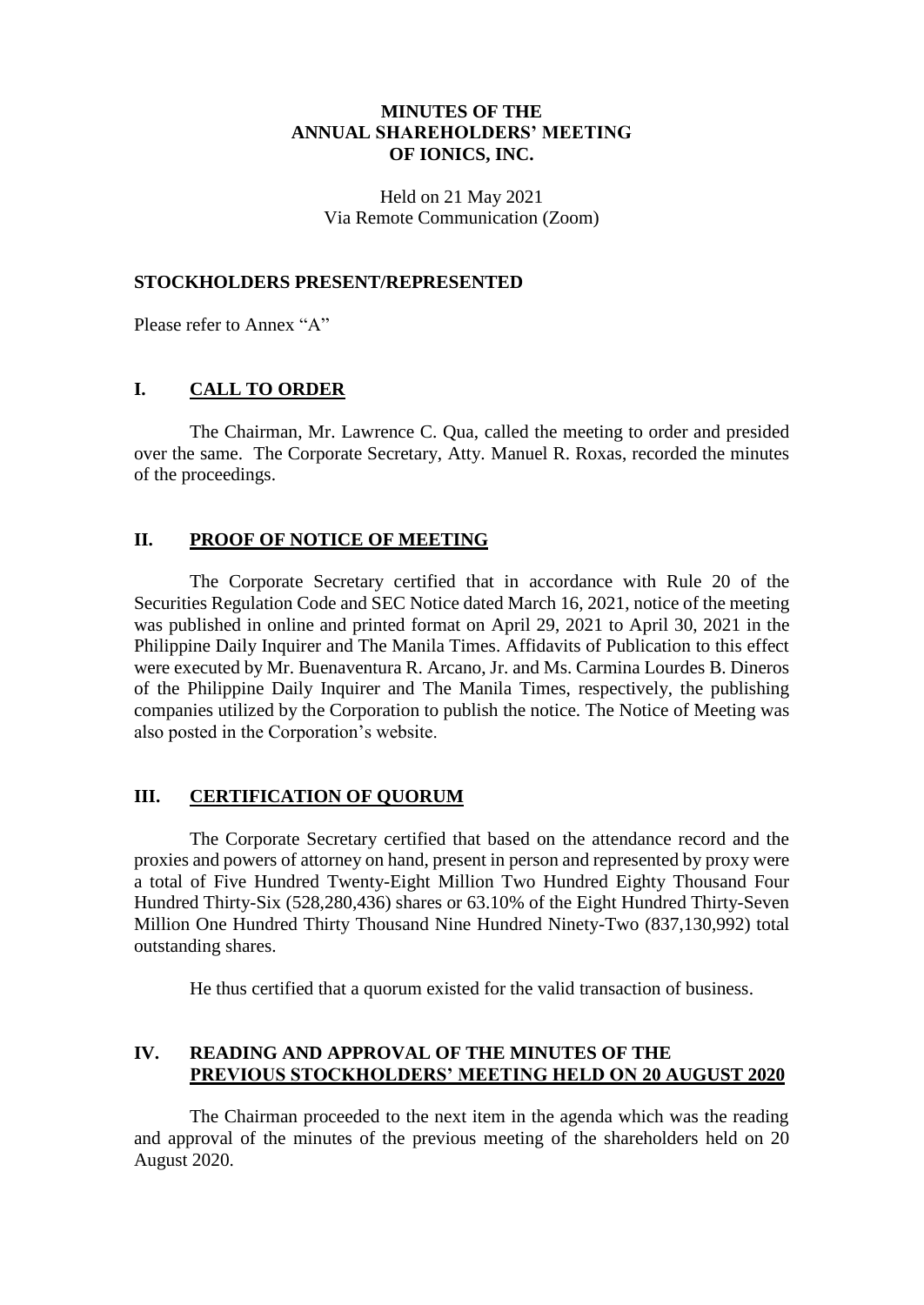### **MINUTES OF THE ANNUAL SHAREHOLDERS' MEETING OF IONICS, INC.**

Held on 21 May 2021 Via Remote Communication (Zoom)

#### **STOCKHOLDERS PRESENT/REPRESENTED**

Please refer to Annex "A"

#### **I. CALL TO ORDER**

The Chairman, Mr. Lawrence C. Qua, called the meeting to order and presided over the same. The Corporate Secretary, Atty. Manuel R. Roxas, recorded the minutes of the proceedings.

#### **II. PROOF OF NOTICE OF MEETING**

The Corporate Secretary certified that in accordance with Rule 20 of the Securities Regulation Code and SEC Notice dated March 16, 2021, notice of the meeting was published in online and printed format on April 29, 2021 to April 30, 2021 in the Philippine Daily Inquirer and The Manila Times. Affidavits of Publication to this effect were executed by Mr. Buenaventura R. Arcano, Jr. and Ms. Carmina Lourdes B. Dineros of the Philippine Daily Inquirer and The Manila Times, respectively, the publishing companies utilized by the Corporation to publish the notice. The Notice of Meeting was also posted in the Corporation's website.

# **III. CERTIFICATION OF QUORUM**

The Corporate Secretary certified that based on the attendance record and the proxies and powers of attorney on hand, present in person and represented by proxy were a total of Five Hundred Twenty-Eight Million Two Hundred Eighty Thousand Four Hundred Thirty-Six (528,280,436) shares or 63.10% of the Eight Hundred Thirty-Seven Million One Hundred Thirty Thousand Nine Hundred Ninety-Two (837,130,992) total outstanding shares.

He thus certified that a quorum existed for the valid transaction of business.

# **IV. READING AND APPROVAL OF THE MINUTES OF THE PREVIOUS STOCKHOLDERS' MEETING HELD ON 20 AUGUST 2020**

The Chairman proceeded to the next item in the agenda which was the reading and approval of the minutes of the previous meeting of the shareholders held on 20 August 2020.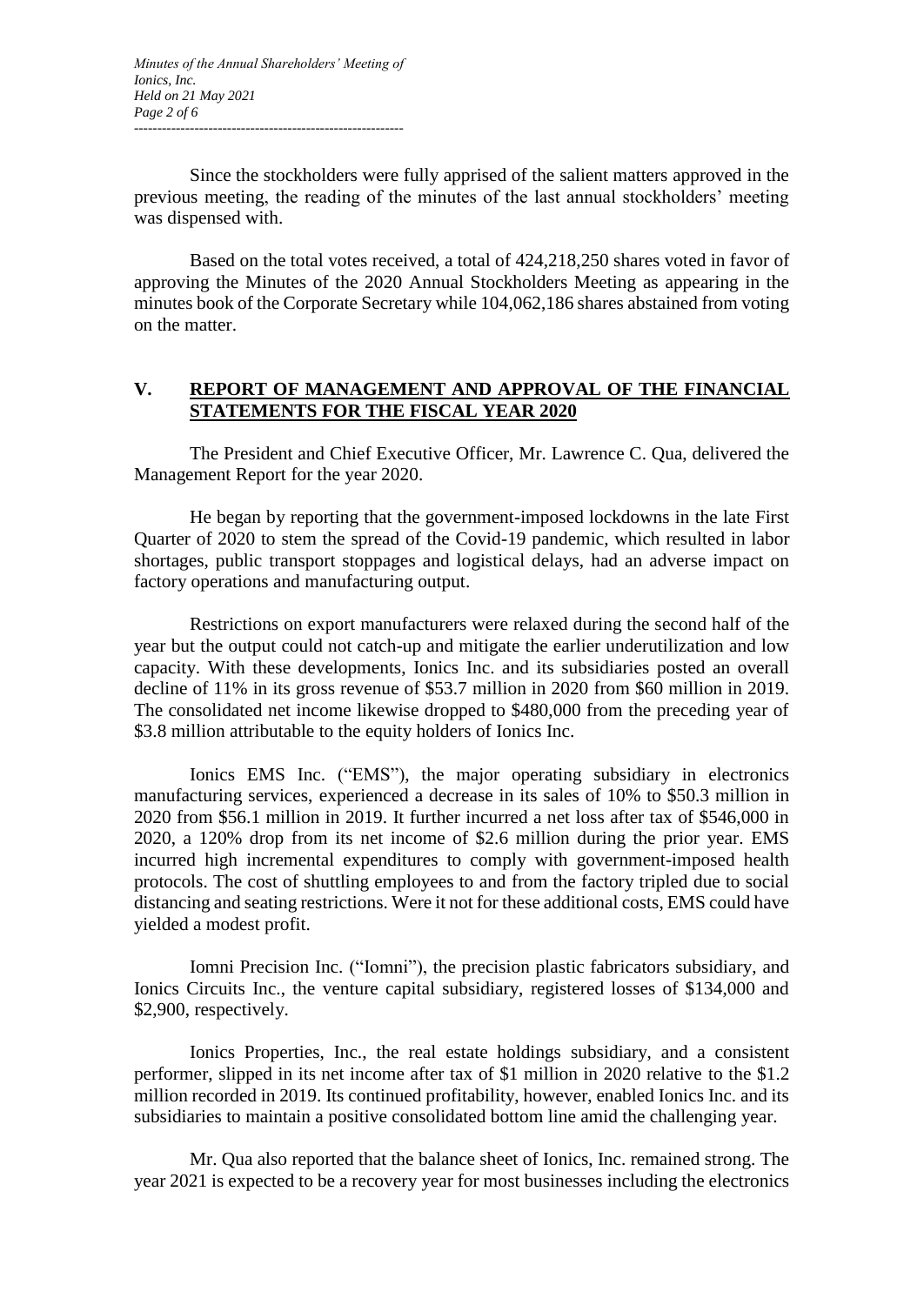Since the stockholders were fully apprised of the salient matters approved in the previous meeting, the reading of the minutes of the last annual stockholders' meeting was dispensed with.

Based on the total votes received, a total of 424,218,250 shares voted in favor of approving the Minutes of the 2020 Annual Stockholders Meeting as appearing in the minutes book of the Corporate Secretary while 104,062,186 shares abstained from voting on the matter.

# **V. REPORT OF MANAGEMENT AND APPROVAL OF THE FINANCIAL STATEMENTS FOR THE FISCAL YEAR 2020**

The President and Chief Executive Officer, Mr. Lawrence C. Qua, delivered the Management Report for the year 2020.

He began by reporting that the government-imposed lockdowns in the late First Quarter of 2020 to stem the spread of the Covid-19 pandemic, which resulted in labor shortages, public transport stoppages and logistical delays, had an adverse impact on factory operations and manufacturing output.

Restrictions on export manufacturers were relaxed during the second half of the year but the output could not catch-up and mitigate the earlier underutilization and low capacity. With these developments, Ionics Inc. and its subsidiaries posted an overall decline of 11% in its gross revenue of \$53.7 million in 2020 from \$60 million in 2019. The consolidated net income likewise dropped to \$480,000 from the preceding year of \$3.8 million attributable to the equity holders of Ionics Inc.

Ionics EMS Inc. ("EMS"), the major operating subsidiary in electronics manufacturing services, experienced a decrease in its sales of 10% to \$50.3 million in 2020 from \$56.1 million in 2019. It further incurred a net loss after tax of \$546,000 in 2020, a 120% drop from its net income of \$2.6 million during the prior year. EMS incurred high incremental expenditures to comply with government-imposed health protocols. The cost of shuttling employees to and from the factory tripled due to social distancing and seating restrictions. Were it not for these additional costs, EMS could have yielded a modest profit.

Iomni Precision Inc. ("Iomni"), the precision plastic fabricators subsidiary, and Ionics Circuits Inc., the venture capital subsidiary, registered losses of \$134,000 and \$2,900, respectively.

Ionics Properties, Inc., the real estate holdings subsidiary, and a consistent performer, slipped in its net income after tax of \$1 million in 2020 relative to the \$1.2 million recorded in 2019. Its continued profitability, however, enabled Ionics Inc. and its subsidiaries to maintain a positive consolidated bottom line amid the challenging year.

Mr. Qua also reported that the balance sheet of Ionics, Inc. remained strong. The year 2021 is expected to be a recovery year for most businesses including the electronics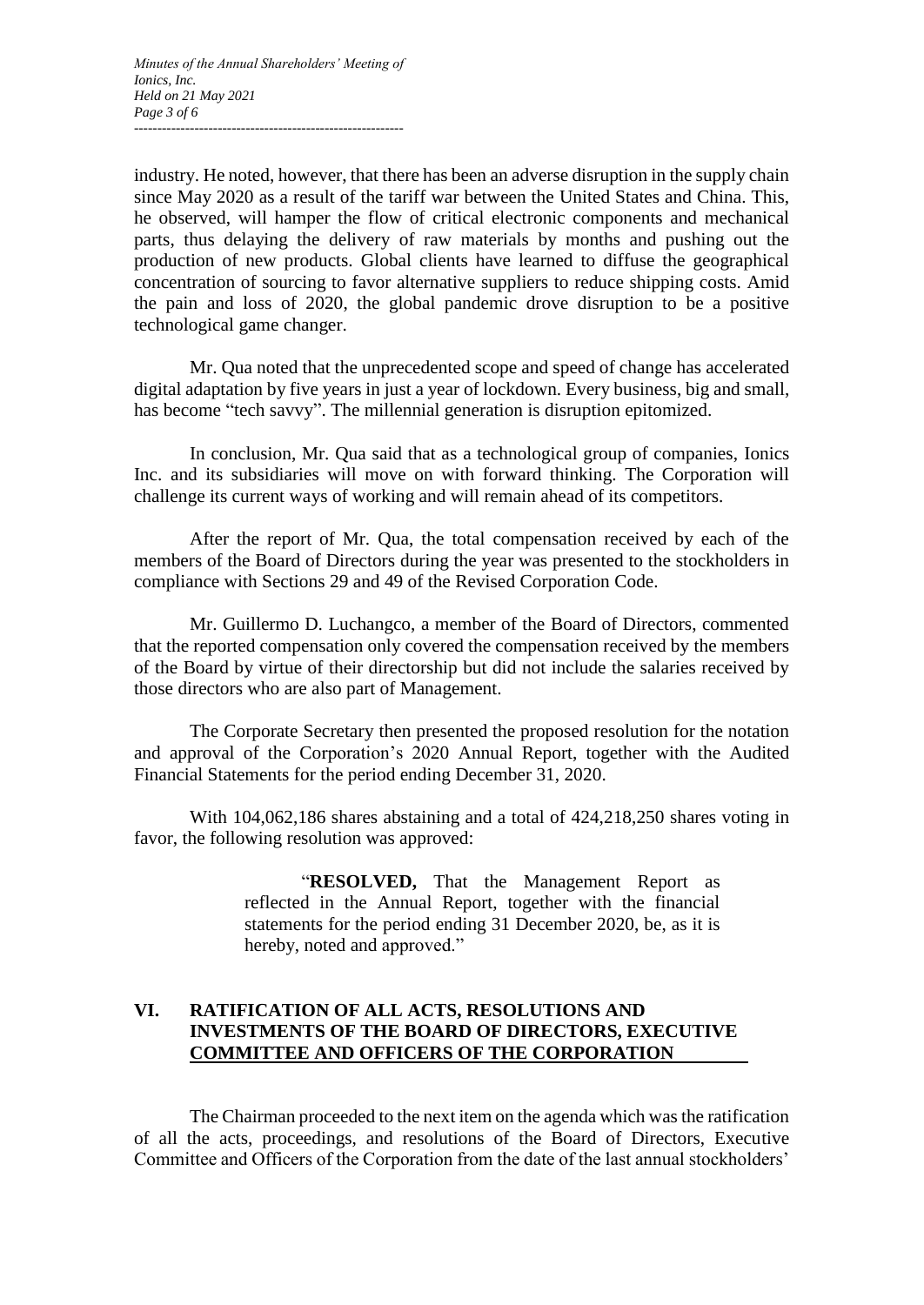industry. He noted, however, that there has been an adverse disruption in the supply chain since May 2020 as a result of the tariff war between the United States and China. This, he observed, will hamper the flow of critical electronic components and mechanical parts, thus delaying the delivery of raw materials by months and pushing out the production of new products. Global clients have learned to diffuse the geographical concentration of sourcing to favor alternative suppliers to reduce shipping costs. Amid the pain and loss of 2020, the global pandemic drove disruption to be a positive technological game changer.

Mr. Qua noted that the unprecedented scope and speed of change has accelerated digital adaptation by five years in just a year of lockdown. Every business, big and small, has become "tech savvy". The millennial generation is disruption epitomized.

In conclusion, Mr. Qua said that as a technological group of companies, Ionics Inc. and its subsidiaries will move on with forward thinking. The Corporation will challenge its current ways of working and will remain ahead of its competitors.

After the report of Mr. Qua, the total compensation received by each of the members of the Board of Directors during the year was presented to the stockholders in compliance with Sections 29 and 49 of the Revised Corporation Code.

Mr. Guillermo D. Luchangco, a member of the Board of Directors, commented that the reported compensation only covered the compensation received by the members of the Board by virtue of their directorship but did not include the salaries received by those directors who are also part of Management.

The Corporate Secretary then presented the proposed resolution for the notation and approval of the Corporation's 2020 Annual Report, together with the Audited Financial Statements for the period ending December 31, 2020.

With 104,062,186 shares abstaining and a total of 424,218,250 shares voting in favor, the following resolution was approved:

> "**RESOLVED,** That the Management Report as reflected in the Annual Report, together with the financial statements for the period ending 31 December 2020, be, as it is hereby, noted and approved."

# **VI. RATIFICATION OF ALL ACTS, RESOLUTIONS AND INVESTMENTS OF THE BOARD OF DIRECTORS, EXECUTIVE COMMITTEE AND OFFICERS OF THE CORPORATION**

The Chairman proceeded to the next item on the agenda which was the ratification of all the acts, proceedings, and resolutions of the Board of Directors, Executive Committee and Officers of the Corporation from the date of the last annual stockholders'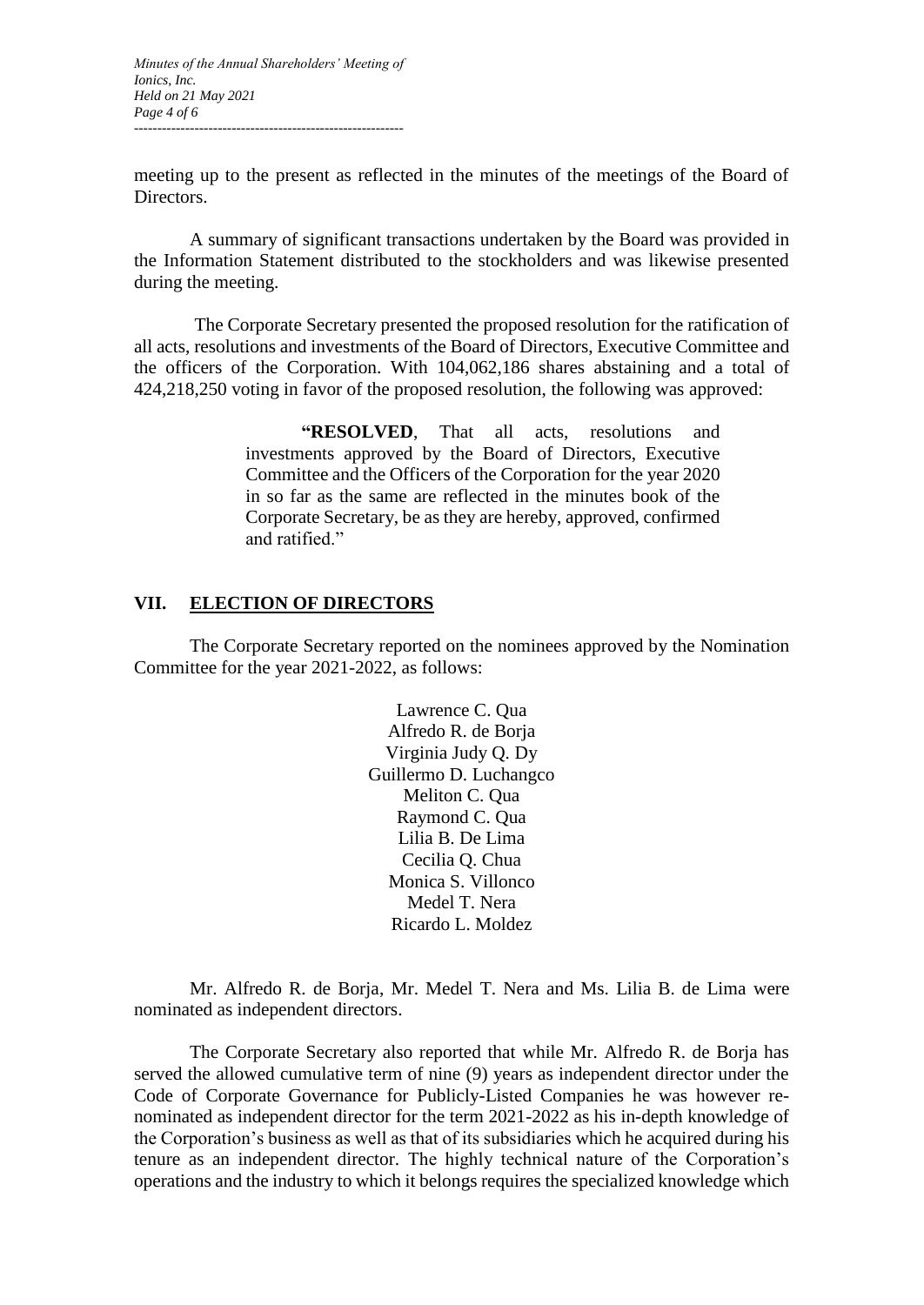*Minutes of the Annual Shareholders' Meeting of Ionics, Inc. Held on 21 May 2021 Page 4 of 6 ----------------------------------------------------------*

meeting up to the present as reflected in the minutes of the meetings of the Board of Directors.

A summary of significant transactions undertaken by the Board was provided in the Information Statement distributed to the stockholders and was likewise presented during the meeting.

The Corporate Secretary presented the proposed resolution for the ratification of all acts, resolutions and investments of the Board of Directors, Executive Committee and the officers of the Corporation. With 104,062,186 shares abstaining and a total of 424,218,250 voting in favor of the proposed resolution, the following was approved:

> **"RESOLVED**, That all acts, resolutions and investments approved by the Board of Directors, Executive Committee and the Officers of the Corporation for the year 2020 in so far as the same are reflected in the minutes book of the Corporate Secretary, be as they are hereby, approved, confirmed and ratified."

#### **VII. ELECTION OF DIRECTORS**

The Corporate Secretary reported on the nominees approved by the Nomination Committee for the year 2021-2022, as follows:

> Lawrence C. Qua Alfredo R. de Borja Virginia Judy Q. Dy Guillermo D. Luchangco Meliton C. Qua Raymond C. Qua Lilia B. De Lima Cecilia Q. Chua Monica S. Villonco Medel T. Nera Ricardo L. Moldez

Mr. Alfredo R. de Borja, Mr. Medel T. Nera and Ms. Lilia B. de Lima were nominated as independent directors.

The Corporate Secretary also reported that while Mr. Alfredo R. de Borja has served the allowed cumulative term of nine (9) years as independent director under the Code of Corporate Governance for Publicly-Listed Companies he was however renominated as independent director for the term 2021-2022 as his in-depth knowledge of the Corporation's business as well as that of its subsidiaries which he acquired during his tenure as an independent director. The highly technical nature of the Corporation's operations and the industry to which it belongs requires the specialized knowledge which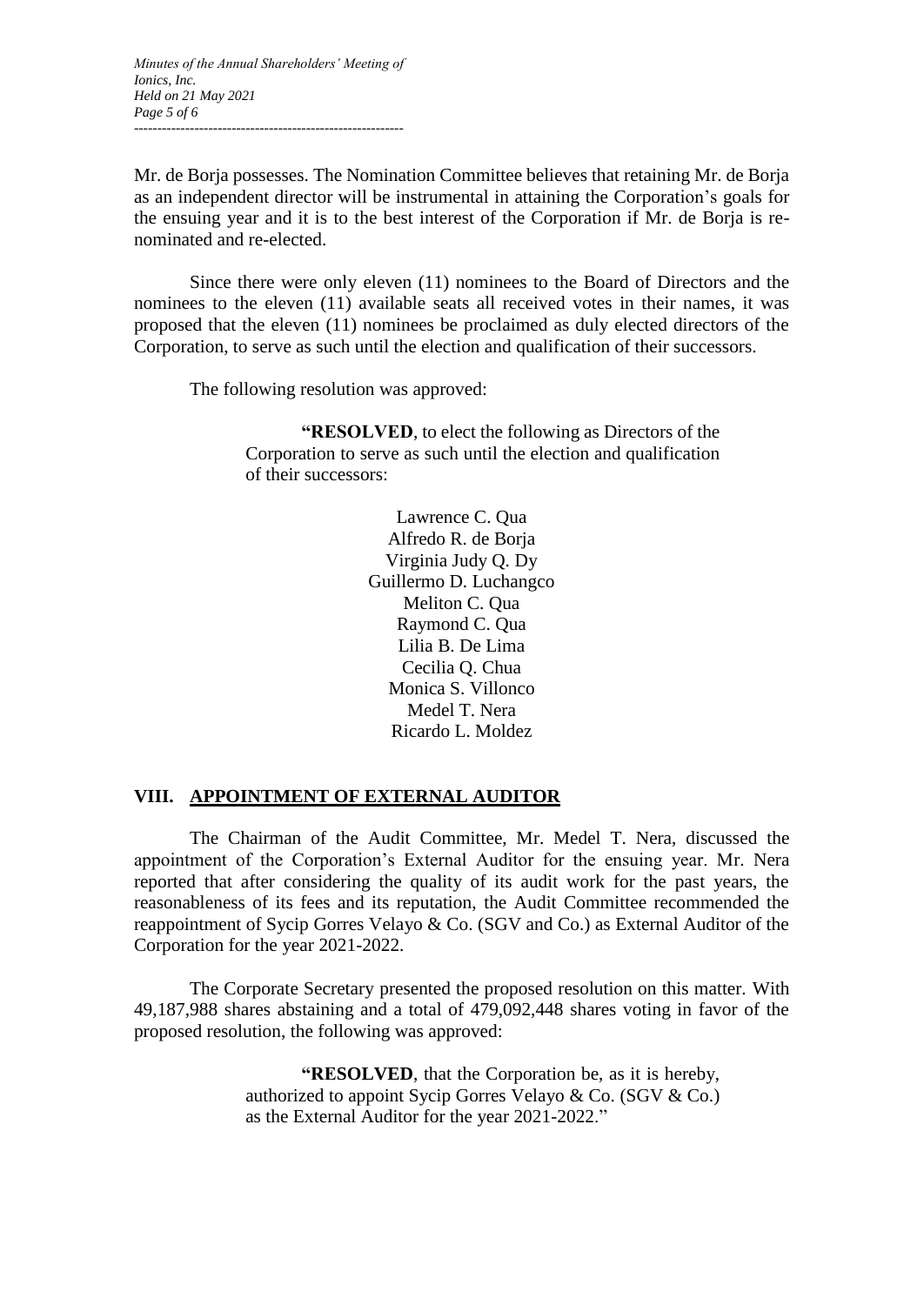*Minutes of the Annual Shareholders' Meeting of Ionics, Inc. Held on 21 May 2021 Page 5 of 6 ----------------------------------------------------------*

Mr. de Borja possesses. The Nomination Committee believes that retaining Mr. de Borja as an independent director will be instrumental in attaining the Corporation's goals for the ensuing year and it is to the best interest of the Corporation if Mr. de Borja is renominated and re-elected.

Since there were only eleven (11) nominees to the Board of Directors and the nominees to the eleven (11) available seats all received votes in their names, it was proposed that the eleven (11) nominees be proclaimed as duly elected directors of the Corporation, to serve as such until the election and qualification of their successors.

The following resolution was approved:

**"RESOLVED**, to elect the following as Directors of the Corporation to serve as such until the election and qualification of their successors:

> Lawrence C. Qua Alfredo R. de Borja Virginia Judy Q. Dy Guillermo D. Luchangco Meliton C. Qua Raymond C. Qua Lilia B. De Lima Cecilia Q. Chua Monica S. Villonco Medel T. Nera Ricardo L. Moldez

#### **VIII. APPOINTMENT OF EXTERNAL AUDITOR**

The Chairman of the Audit Committee, Mr. Medel T. Nera, discussed the appointment of the Corporation's External Auditor for the ensuing year. Mr. Nera reported that after considering the quality of its audit work for the past years, the reasonableness of its fees and its reputation, the Audit Committee recommended the reappointment of Sycip Gorres Velayo & Co. (SGV and Co.) as External Auditor of the Corporation for the year 2021-2022.

The Corporate Secretary presented the proposed resolution on this matter. With 49,187,988 shares abstaining and a total of 479,092,448 shares voting in favor of the proposed resolution, the following was approved:

> **"RESOLVED**, that the Corporation be, as it is hereby, authorized to appoint Sycip Gorres Velayo & Co. (SGV & Co.) as the External Auditor for the year 2021-2022."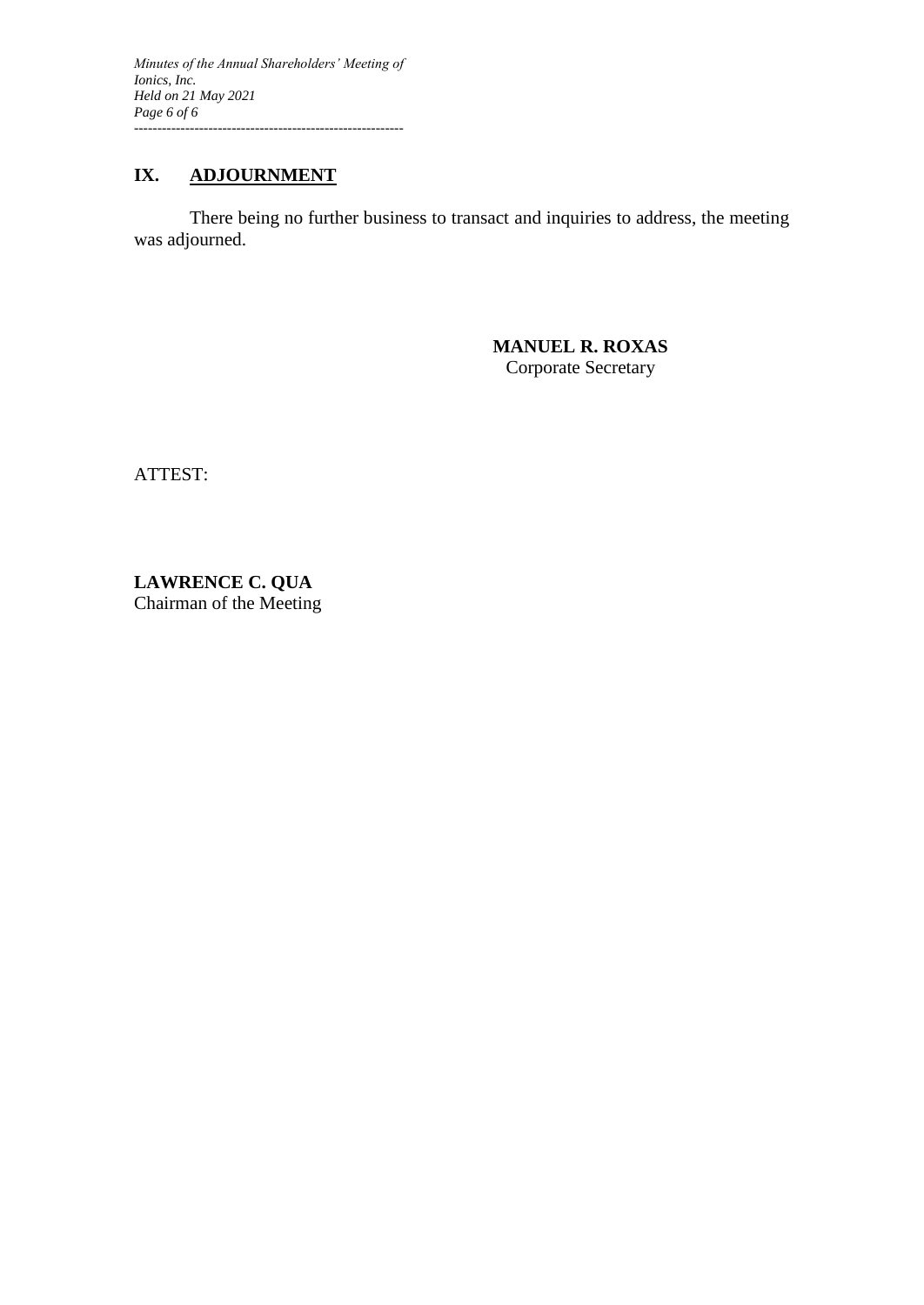*Minutes of the Annual Shareholders' Meeting of Ionics, Inc. Held on 21 May 2021 Page 6 of 6 ----------------------------------------------------------*

# **IX. ADJOURNMENT**

There being no further business to transact and inquiries to address, the meeting was adjourned.

> **MANUEL R. ROXAS** Corporate Secretary

ATTEST:

**LAWRENCE C. QUA** Chairman of the Meeting